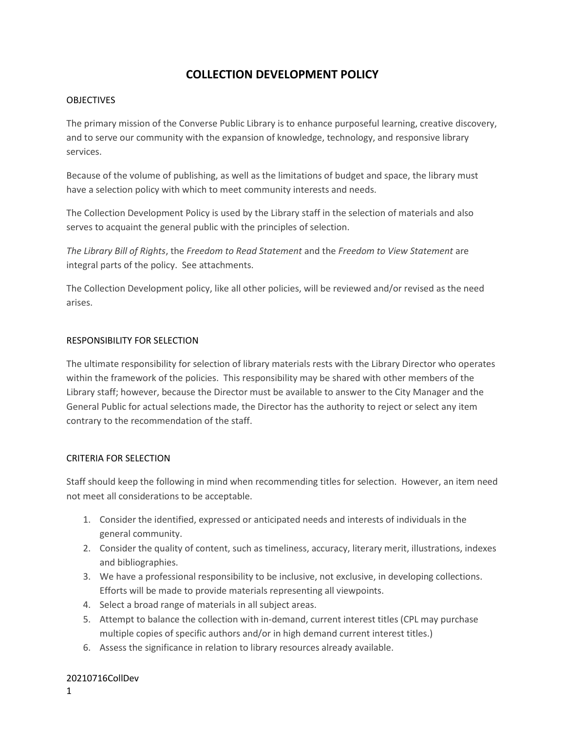# **COLLECTION DEVELOPMENT POLICY**

#### OBJECTIVES

The primary mission of the Converse Public Library is to enhance purposeful learning, creative discovery, and to serve our community with the expansion of knowledge, technology, and responsive library services.

Because of the volume of publishing, as well as the limitations of budget and space, the library must have a selection policy with which to meet community interests and needs.

The Collection Development Policy is used by the Library staff in the selection of materials and also serves to acquaint the general public with the principles of selection.

*The Library Bill of Rights*, the *Freedom to Read Statement* and the *Freedom to View Statement* are integral parts of the policy. See attachments.

The Collection Development policy, like all other policies, will be reviewed and/or revised as the need arises.

#### RESPONSIBILITY FOR SELECTION

The ultimate responsibility for selection of library materials rests with the Library Director who operates within the framework of the policies. This responsibility may be shared with other members of the Library staff; however, because the Director must be available to answer to the City Manager and the General Public for actual selections made, the Director has the authority to reject or select any item contrary to the recommendation of the staff.

#### CRITERIA FOR SELECTION

Staff should keep the following in mind when recommending titles for selection. However, an item need not meet all considerations to be acceptable.

- 1. Consider the identified, expressed or anticipated needs and interests of individuals in the general community.
- 2. Consider the quality of content, such as timeliness, accuracy, literary merit, illustrations, indexes and bibliographies.
- 3. We have a professional responsibility to be inclusive, not exclusive, in developing collections. Efforts will be made to provide materials representing all viewpoints.
- 4. Select a broad range of materials in all subject areas.
- 5. Attempt to balance the collection with in-demand, current interest titles (CPL may purchase multiple copies of specific authors and/or in high demand current interest titles.)
- 6. Assess the significance in relation to library resources already available.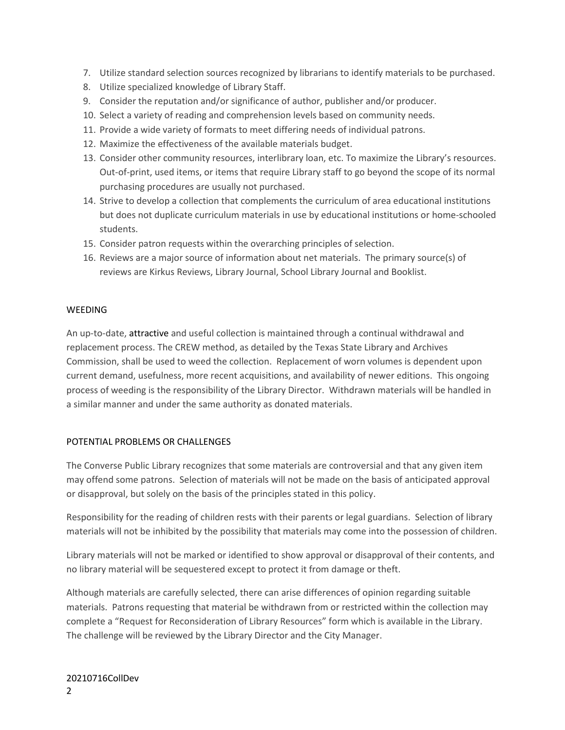- 7. Utilize standard selection sources recognized by librarians to identify materials to be purchased.
- 8. Utilize specialized knowledge of Library Staff.
- 9. Consider the reputation and/or significance of author, publisher and/or producer.
- 10. Select a variety of reading and comprehension levels based on community needs.
- 11. Provide a wide variety of formats to meet differing needs of individual patrons.
- 12. Maximize the effectiveness of the available materials budget.
- 13. Consider other community resources, interlibrary loan, etc. To maximize the Library's resources. Out-of-print, used items, or items that require Library staff to go beyond the scope of its normal purchasing procedures are usually not purchased.
- 14. Strive to develop a collection that complements the curriculum of area educational institutions but does not duplicate curriculum materials in use by educational institutions or home-schooled students.
- 15. Consider patron requests within the overarching principles of selection.
- 16. Reviews are a major source of information about net materials. The primary source(s) of reviews are Kirkus Reviews, Library Journal, School Library Journal and Booklist.

### **WEEDING**

An up-to-date, attractive and useful collection is maintained through a continual withdrawal and replacement process. The CREW method, as detailed by the Texas State Library and Archives Commission, shall be used to weed the collection. Replacement of worn volumes is dependent upon current demand, usefulness, more recent acquisitions, and availability of newer editions. This ongoing process of weeding is the responsibility of the Library Director. Withdrawn materials will be handled in a similar manner and under the same authority as donated materials.

## POTENTIAL PROBLEMS OR CHALLENGES

The Converse Public Library recognizes that some materials are controversial and that any given item may offend some patrons. Selection of materials will not be made on the basis of anticipated approval or disapproval, but solely on the basis of the principles stated in this policy.

Responsibility for the reading of children rests with their parents or legal guardians. Selection of library materials will not be inhibited by the possibility that materials may come into the possession of children.

Library materials will not be marked or identified to show approval or disapproval of their contents, and no library material will be sequestered except to protect it from damage or theft.

Although materials are carefully selected, there can arise differences of opinion regarding suitable materials. Patrons requesting that material be withdrawn from or restricted within the collection may complete a "Request for Reconsideration of Library Resources" form which is available in the Library. The challenge will be reviewed by the Library Director and the City Manager.